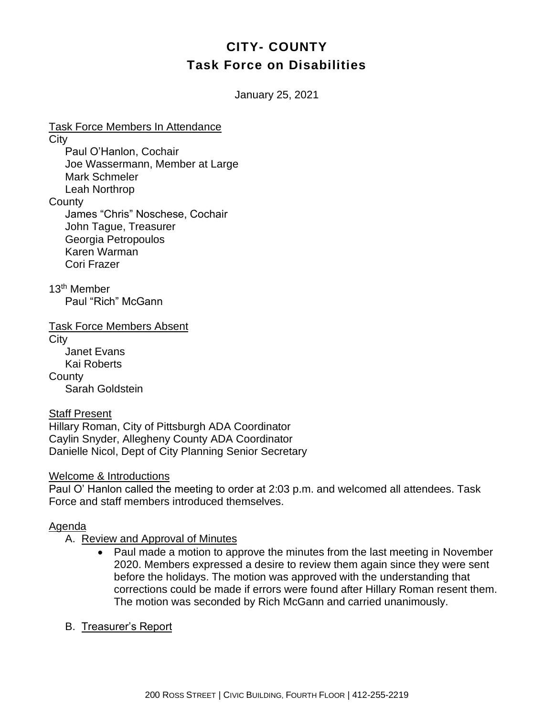# **CITY- COUNTY Task Force on Disabilities**

January 25, 2021

Task Force Members In Attendance **City** Paul O'Hanlon, Cochair Joe Wassermann, Member at Large Mark Schmeler Leah Northrop **County** James "Chris" Noschese, Cochair John Tague, Treasurer Georgia Petropoulos Karen Warman Cori Frazer

13th Member Paul "Rich" McGann

Task Force Members Absent

**City** Janet Evans Kai Roberts **County** Sarah Goldstein

#### Staff Present

Hillary Roman, City of Pittsburgh ADA Coordinator Caylin Snyder, Allegheny County ADA Coordinator Danielle Nicol, Dept of City Planning Senior Secretary

#### Welcome & Introductions

Paul O' Hanlon called the meeting to order at 2:03 p.m. and welcomed all attendees. Task Force and staff members introduced themselves.

#### Agenda

A. Review and Approval of Minutes

- Paul made a motion to approve the minutes from the last meeting in November 2020. Members expressed a desire to review them again since they were sent before the holidays. The motion was approved with the understanding that corrections could be made if errors were found after Hillary Roman resent them. The motion was seconded by Rich McGann and carried unanimously.
- B. Treasurer's Report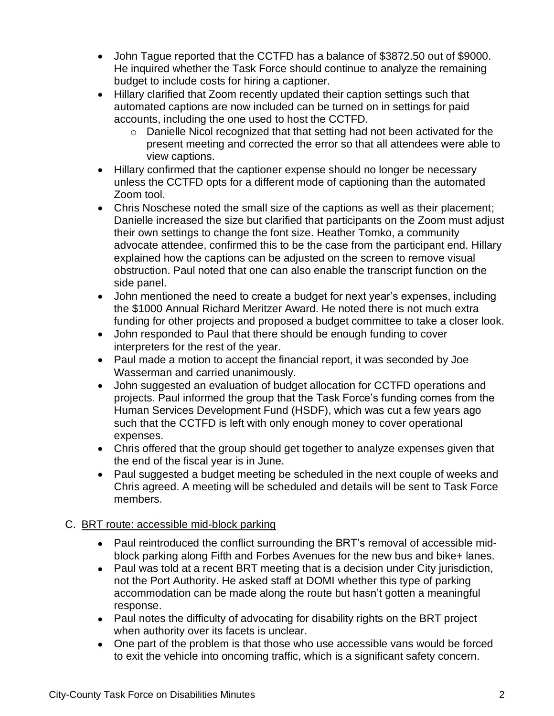- John Tague reported that the CCTFD has a balance of \$3872.50 out of \$9000. He inquired whether the Task Force should continue to analyze the remaining budget to include costs for hiring a captioner.
- Hillary clarified that Zoom recently updated their caption settings such that automated captions are now included can be turned on in settings for paid accounts, including the one used to host the CCTFD.
	- o Danielle Nicol recognized that that setting had not been activated for the present meeting and corrected the error so that all attendees were able to view captions.
- Hillary confirmed that the captioner expense should no longer be necessary unless the CCTFD opts for a different mode of captioning than the automated Zoom tool.
- Chris Noschese noted the small size of the captions as well as their placement; Danielle increased the size but clarified that participants on the Zoom must adjust their own settings to change the font size. Heather Tomko, a community advocate attendee, confirmed this to be the case from the participant end. Hillary explained how the captions can be adjusted on the screen to remove visual obstruction. Paul noted that one can also enable the transcript function on the side panel.
- John mentioned the need to create a budget for next year's expenses, including the \$1000 Annual Richard Meritzer Award. He noted there is not much extra funding for other projects and proposed a budget committee to take a closer look.
- John responded to Paul that there should be enough funding to cover interpreters for the rest of the year.
- Paul made a motion to accept the financial report, it was seconded by Joe Wasserman and carried unanimously.
- John suggested an evaluation of budget allocation for CCTFD operations and projects. Paul informed the group that the Task Force's funding comes from the Human Services Development Fund (HSDF), which was cut a few years ago such that the CCTFD is left with only enough money to cover operational expenses.
- Chris offered that the group should get together to analyze expenses given that the end of the fiscal year is in June.
- Paul suggested a budget meeting be scheduled in the next couple of weeks and Chris agreed. A meeting will be scheduled and details will be sent to Task Force members.

# C. BRT route: accessible mid-block parking

- Paul reintroduced the conflict surrounding the BRT's removal of accessible midblock parking along Fifth and Forbes Avenues for the new bus and bike+ lanes.
- Paul was told at a recent BRT meeting that is a decision under City jurisdiction, not the Port Authority. He asked staff at DOMI whether this type of parking accommodation can be made along the route but hasn't gotten a meaningful response.
- Paul notes the difficulty of advocating for disability rights on the BRT project when authority over its facets is unclear.
- One part of the problem is that those who use accessible vans would be forced to exit the vehicle into oncoming traffic, which is a significant safety concern.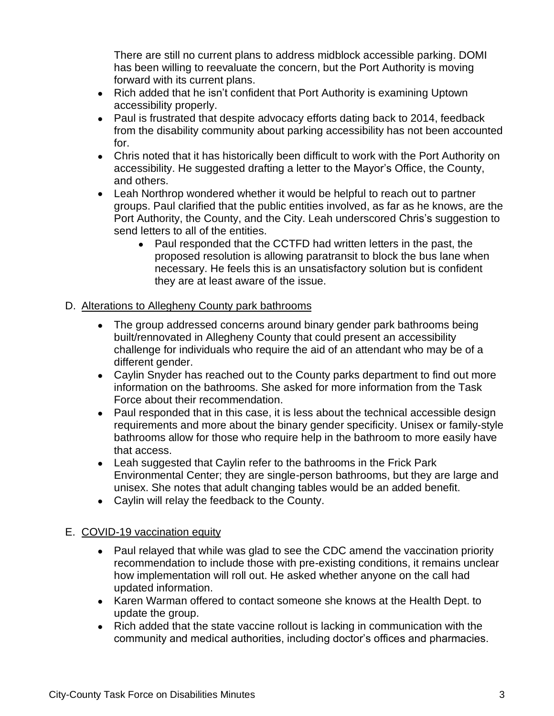There are still no current plans to address midblock accessible parking. DOMI has been willing to reevaluate the concern, but the Port Authority is moving forward with its current plans.

- Rich added that he isn't confident that Port Authority is examining Uptown accessibility properly.
- Paul is frustrated that despite advocacy efforts dating back to 2014, feedback from the disability community about parking accessibility has not been accounted for.
- Chris noted that it has historically been difficult to work with the Port Authority on accessibility. He suggested drafting a letter to the Mayor's Office, the County, and others.
- Leah Northrop wondered whether it would be helpful to reach out to partner groups. Paul clarified that the public entities involved, as far as he knows, are the Port Authority, the County, and the City. Leah underscored Chris's suggestion to send letters to all of the entities.
	- Paul responded that the CCTFD had written letters in the past, the proposed resolution is allowing paratransit to block the bus lane when necessary. He feels this is an unsatisfactory solution but is confident they are at least aware of the issue.

## D. Alterations to Allegheny County park bathrooms

- The group addressed concerns around binary gender park bathrooms being built/rennovated in Allegheny County that could present an accessibility challenge for individuals who require the aid of an attendant who may be of a different gender.
- Caylin Snyder has reached out to the County parks department to find out more information on the bathrooms. She asked for more information from the Task Force about their recommendation.
- Paul responded that in this case, it is less about the technical accessible design requirements and more about the binary gender specificity. Unisex or family-style bathrooms allow for those who require help in the bathroom to more easily have that access.
- Leah suggested that Caylin refer to the bathrooms in the Frick Park Environmental Center; they are single-person bathrooms, but they are large and unisex. She notes that adult changing tables would be an added benefit.
- Caylin will relay the feedback to the County.

## E. COVID-19 vaccination equity

- Paul relayed that while was glad to see the CDC amend the vaccination priority recommendation to include those with pre-existing conditions, it remains unclear how implementation will roll out. He asked whether anyone on the call had updated information.
- Karen Warman offered to contact someone she knows at the Health Dept. to update the group.
- Rich added that the state vaccine rollout is lacking in communication with the community and medical authorities, including doctor's offices and pharmacies.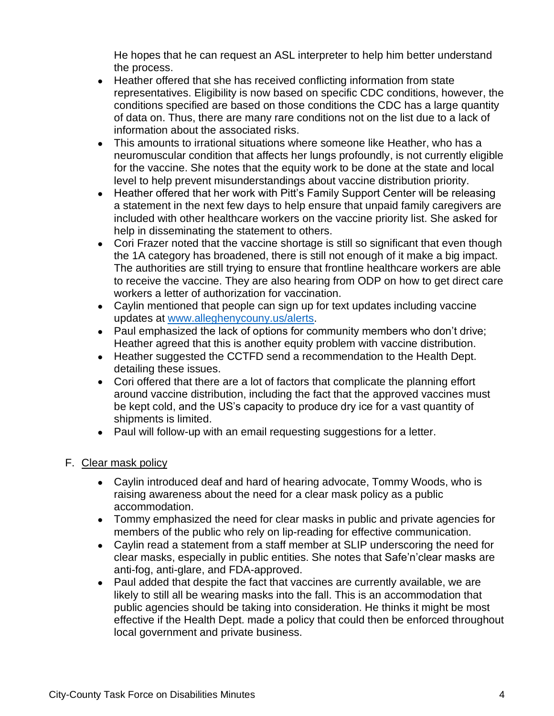He hopes that he can request an ASL interpreter to help him better understand the process.

- Heather offered that she has received conflicting information from state representatives. Eligibility is now based on specific CDC conditions, however, the conditions specified are based on those conditions the CDC has a large quantity of data on. Thus, there are many rare conditions not on the list due to a lack of information about the associated risks.
- This amounts to irrational situations where someone like Heather, who has a neuromuscular condition that affects her lungs profoundly, is not currently eligible for the vaccine. She notes that the equity work to be done at the state and local level to help prevent misunderstandings about vaccine distribution priority.
- Heather offered that her work with Pitt's Family Support Center will be releasing a statement in the next few days to help ensure that unpaid family caregivers are included with other healthcare workers on the vaccine priority list. She asked for help in disseminating the statement to others.
- Cori Frazer noted that the vaccine shortage is still so significant that even though the 1A category has broadened, there is still not enough of it make a big impact. The authorities are still trying to ensure that frontline healthcare workers are able to receive the vaccine. They are also hearing from ODP on how to get direct care workers a letter of authorization for vaccination.
- Caylin mentioned that people can sign up for text updates including vaccine updates at [www.alleghenycouny.us/alerts.](http://www.alleghenycouny.us/alerts)
- Paul emphasized the lack of options for community members who don't drive; Heather agreed that this is another equity problem with vaccine distribution.
- Heather suggested the CCTFD send a recommendation to the Health Dept. detailing these issues.
- Cori offered that there are a lot of factors that complicate the planning effort around vaccine distribution, including the fact that the approved vaccines must be kept cold, and the US's capacity to produce dry ice for a vast quantity of shipments is limited.
- Paul will follow-up with an email requesting suggestions for a letter.

## F. Clear mask policy

- Caylin introduced deaf and hard of hearing advocate, Tommy Woods, who is raising awareness about the need for a clear mask policy as a public accommodation.
- Tommy emphasized the need for clear masks in public and private agencies for members of the public who rely on lip-reading for effective communication.
- Caylin read a statement from a staff member at SLIP underscoring the need for clear masks, especially in public entities. She notes that Safe'n'clear masks are anti-fog, anti-glare, and FDA-approved.
- Paul added that despite the fact that vaccines are currently available, we are likely to still all be wearing masks into the fall. This is an accommodation that public agencies should be taking into consideration. He thinks it might be most effective if the Health Dept. made a policy that could then be enforced throughout local government and private business.